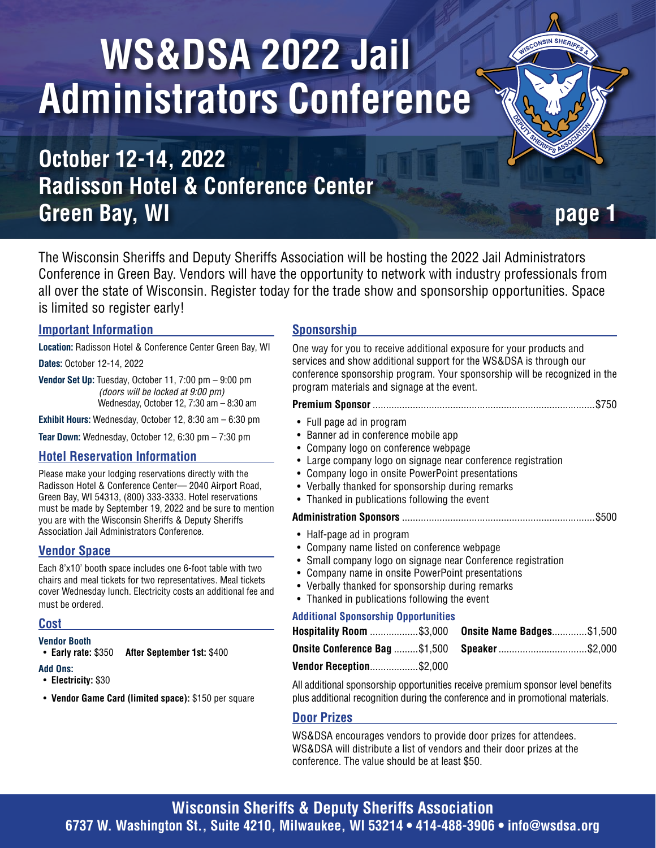# **WS&DSA 2022 Jail Administrators Conference**

## **October 12-14, 2022 Radisson Hotel & Conference Center Green Bay, WI** *page 1*

**ISIN SHER** 

The Wisconsin Sheriffs and Deputy Sheriffs Association will be hosting the 2022 Jail Administrators Conference in Green Bay. Vendors will have the opportunity to network with industry professionals from all over the state of Wisconsin. Register today for the trade show and sponsorship opportunities. Space is limited so register early!

#### **Important Information**

**Location:** Radisson Hotel & Conference Center Green Bay, WI **Dates:** October 12-14, 2022

**Vendor Set Up:** Tuesday, October 11, 7:00 pm – 9:00 pm *(doors will be locked at 9:00 pm)* Wednesday, October 12, 7:30 am – 8:30 am

**Exhibit Hours:** Wednesday, October 12, 8:30 am – 6:30 pm

**Tear Down:** Wednesday, October 12, 6:30 pm – 7:30 pm

#### **Hotel Reservation Information**

Please make your lodging reservations directly with the Radisson Hotel & Conference Center— 2040 Airport Road, Green Bay, WI 54313, (800) 333-3333. Hotel reservations must be made by September 19, 2022 and be sure to mention you are with the Wisconsin Sheriffs & Deputy Sheriffs Association Jail Administrators Conference.

#### **Vendor Space**

Each 8'x10' booth space includes one 6-foot table with two chairs and meal tickets for two representatives. Meal tickets cover Wednesday lunch. Electricity costs an additional fee and must be ordered.

#### **Cost**

**Vendor Booth**

• **Early rate:** \$350 **After September 1st:** \$400

#### **Add Ons:**

- **Electricity:** \$30
- **Vendor Game Card (limited space):** \$150 per square

#### **Sponsorship**

One way for you to receive additional exposure for your products and services and show additional support for the WS&DSA is through our conference sponsorship program. Your sponsorship will be recognized in the program materials and signage at the event. **Premium Sponsor** ...................................................................................\$750 • Full page ad in program • Banner ad in conference mobile app • Company logo on conference webpage • Large company logo on signage near conference registration • Company logo in onsite PowerPoint presentations • Verbally thanked for sponsorship during remarks • Thanked in publications following the event **Administration Sponsors** ........................................................................\$500 • Half-page ad in program • Company name listed on conference webpage • Small company logo on signage near Conference registration • Company name in onsite PowerPoint presentations • Verbally thanked for sponsorship during remarks • Thanked in publications following the event **Additional Sponsorship Opportunities Hospitality Room** ..................\$3,000 **Onsite Conference Bag** .........\$1,500 **Onsite Name Badges** .............\$1,500 **Speaker** .................................\$2,000

**Vendor Reception** ..................\$2,000

All additional sponsorship opportunities receive premium sponsor level benefits plus additional recognition during the conference and in promotional materials.

#### **Door Prizes**

WS&DSA encourages vendors to provide door prizes for attendees. WS&DSA will distribute a list of vendors and their door prizes at the conference. The value should be at least \$50.